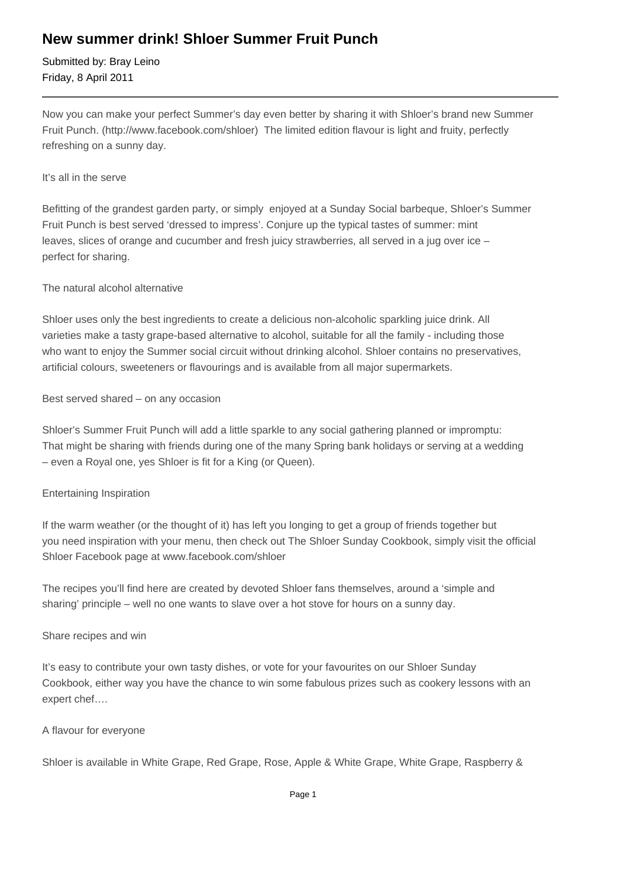## **New summer drink! Shloer Summer Fruit Punch**

Submitted by: Bray Leino Friday, 8 April 2011

Now you can make your perfect Summer's day even better by sharing it with Shloer's brand new Summer Fruit Punch. (http://www.facebook.com/shloer) The limited edition flavour is light and fruity, perfectly refreshing on a sunny day.

#### It's all in the serve

Befitting of the grandest garden party, or simply enjoyed at a Sunday Social barbeque, Shloer's Summer Fruit Punch is best served 'dressed to impress'. Conjure up the typical tastes of summer: mint leaves, slices of orange and cucumber and fresh juicy strawberries, all served in a jug over ice – perfect for sharing.

### The natural alcohol alternative

Shloer uses only the best ingredients to create a delicious non-alcoholic sparkling juice drink. All varieties make a tasty grape-based alternative to alcohol, suitable for all the family - including those who want to enjoy the Summer social circuit without drinking alcohol. Shloer contains no preservatives, artificial colours, sweeteners or flavourings and is available from all major supermarkets.

#### Best served shared – on any occasion

Shloer's Summer Fruit Punch will add a little sparkle to any social gathering planned or impromptu: That might be sharing with friends during one of the many Spring bank holidays or serving at a wedding – even a Royal one, yes Shloer is fit for a King (or Queen).

### Entertaining Inspiration

If the warm weather (or the thought of it) has left you longing to get a group of friends together but you need inspiration with your menu, then check out The Shloer Sunday Cookbook, simply visit the official Shloer Facebook page at www.facebook.com/shloer

The recipes you'll find here are created by devoted Shloer fans themselves, around a 'simple and sharing' principle – well no one wants to slave over a hot stove for hours on a sunny day.

#### Share recipes and win

It's easy to contribute your own tasty dishes, or vote for your favourites on our Shloer Sunday Cookbook, either way you have the chance to win some fabulous prizes such as cookery lessons with an expert chef….

### A flavour for everyone

Shloer is available in White Grape, Red Grape, Rose, Apple & White Grape, White Grape, Raspberry &